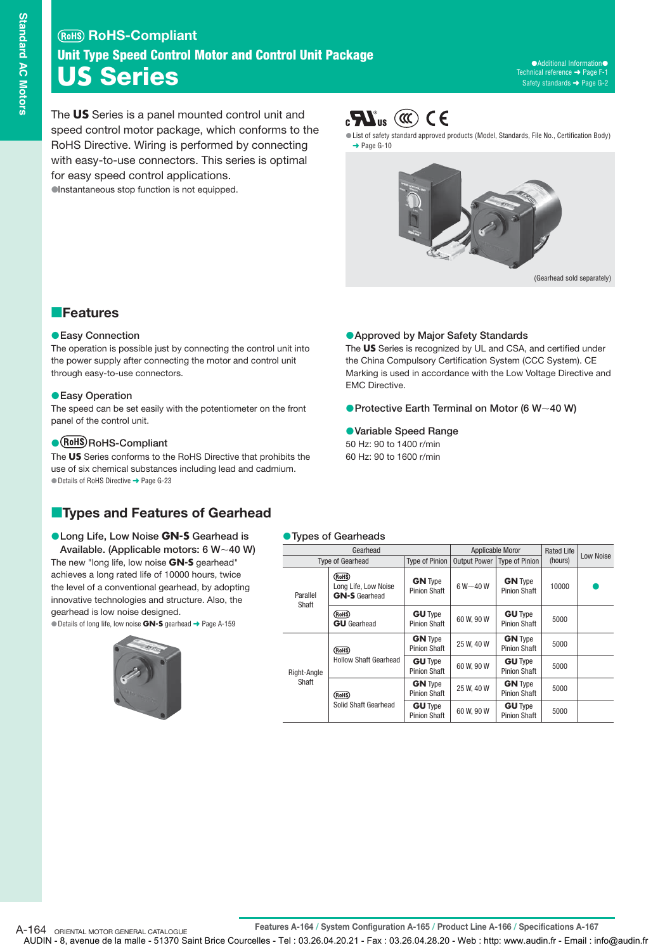The **US** Series is a panel mounted control unit and speed control motor package, which conforms to the RoHS Directive. Wiring is performed by connecting with easy-to-use connectors. This series is optimal for easy speed control applications. Instantaneous stop function is not equipped.



List of safety standard approved products (Model, Standards, File No., Certification Body)  $\rightarrow$  Page G-10



#### **Features**

#### **Easy Connection**

The operation is possible just by connecting the control unit into the power supply after connecting the motor and control unit through easy-to-use connectors.

#### **Easy Operation**

The speed can be set easily with the potentiometer on the front panel of the control unit.

#### **• (RoHS) RoHS-Compliant**

The **US** Series conforms to the RoHS Directive that prohibits the use of six chemical substances including lead and cadmium. ● Details of RoHS Directive → Page G-23

## **Types and Features of Gearhead**

#### **Long Life, Low Noise GN-S Gearhead is**  Available. (Applicable motors: 6 W~40 W) The new "long life, low noise **GN-S** gearhead" achieves a long rated life of 10000 hours, twice

the level of a conventional gearhead, by adopting innovative technologies and structure. Also, the gearhead is low noise designed. Details of long life, low noise **GN-S** gearhead ➜ Page A-159

#### **Types of Gearheads**

EMC Directive.

**Variable Speed Range** 50 Hz: 90 to 1400 r/min 60 Hz: 90 to 1600 r/min

| Gearhead             |                                                        |                                       | Applicable Moror |                                       | <b>Rated Life</b> | Low Noise |
|----------------------|--------------------------------------------------------|---------------------------------------|------------------|---------------------------------------|-------------------|-----------|
|                      | <b>Type of Gearhead</b>                                | <b>Type of Pinion</b>                 |                  | Output Power   Type of Pinion         | (hours)           |           |
| Parallel<br>Shaft    | (RoHS)<br>Long Life, Low Noise<br><b>GN-S</b> Gearhead | <b>GN</b> Type<br><b>Pinion Shaft</b> | $6 W - 40 W$     | <b>GN</b> Type<br><b>Pinion Shaft</b> | 10000             |           |
|                      | (RoHS)<br><b>GU</b> Gearhead                           | <b>GU</b> Type<br><b>Pinion Shaft</b> | 60 W, 90 W       | <b>GU</b> Type<br><b>Pinion Shaft</b> | 5000              |           |
| Right-Angle<br>Shaft | (RoHS)<br><b>Hollow Shaft Gearhead</b>                 | <b>GN</b> Type<br><b>Pinion Shaft</b> | 25 W, 40 W       | <b>GN</b> Type<br><b>Pinion Shaft</b> | 5000              |           |
|                      |                                                        | <b>GU</b> Type<br><b>Pinion Shaft</b> | 60 W, 90 W       | <b>GU</b> Type<br><b>Pinion Shaft</b> | 5000              |           |
|                      | (RoHS)<br>Solid Shaft Gearhead                         | <b>GN</b> Type<br><b>Pinion Shaft</b> | 25 W. 40 W       | <b>GN</b> Type<br><b>Pinion Shaft</b> | 5000              |           |
|                      |                                                        | <b>GU</b> Type<br><b>Pinion Shaft</b> | 60 W, 90 W       | <b>GU</b> Type<br><b>Pinion Shaft</b> | 5000              |           |

**Approved by Major Safety Standards**

The **US** Series is recognized by UL and CSA, and certified under the China Compulsory Certification System (CCC System). CE Marking is used in accordance with the Low Voltage Directive and

**• Protective Earth Terminal on Motor (6 W ~ 40 W)** 

**Features A-164 / System Configuration A-165 / Product Line A-166 / Specifications A-167** A-164 ORIENTAL MOTOR GENERAL CATALOGUE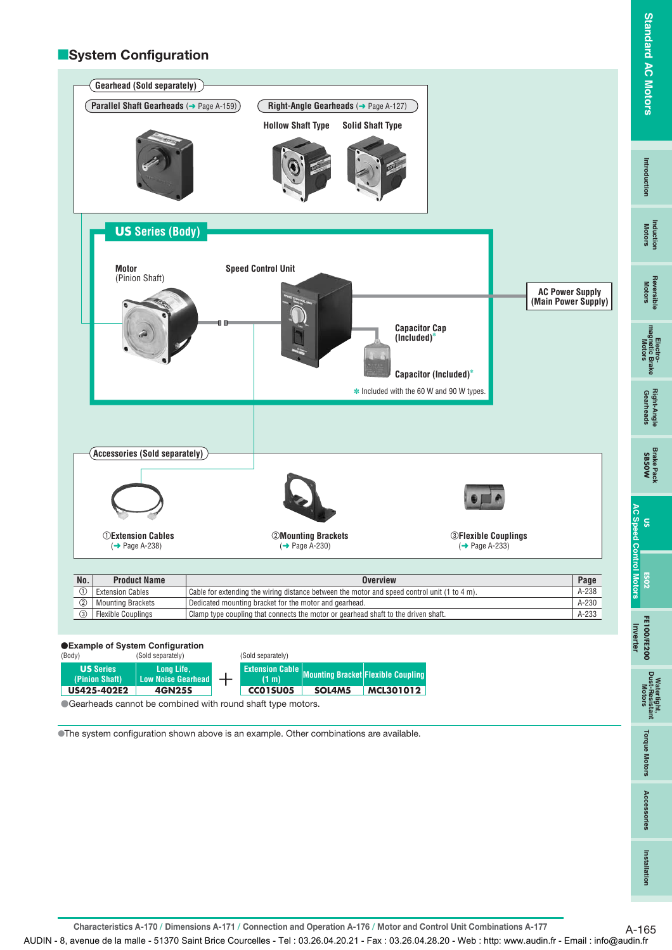**FE100/FE200**

**Inverter**



**Long Life, Low Noise Gearhead 4GN25S US Series (Pinion Shaft) US425-402E2 Extension Cable (1 m) Flexible Coupling Mounting Bracket CC01SU05 SOL4M5 MCL301012**

Gearheads cannot be combined with round shaft type motors.

The system configuration shown above is an example. Other combinations are available.

**Watertight, Dust-Resistant Motors Torque Motors Accessories**

**Torque Motors** 

Accessories

Watertight,<br>Dust-Resistant<br>Motors

**Characteristics A-170 / Dimensions A-171 / Connection and Operation A-176 / Motor and Control Unit Combinations A-177** A-165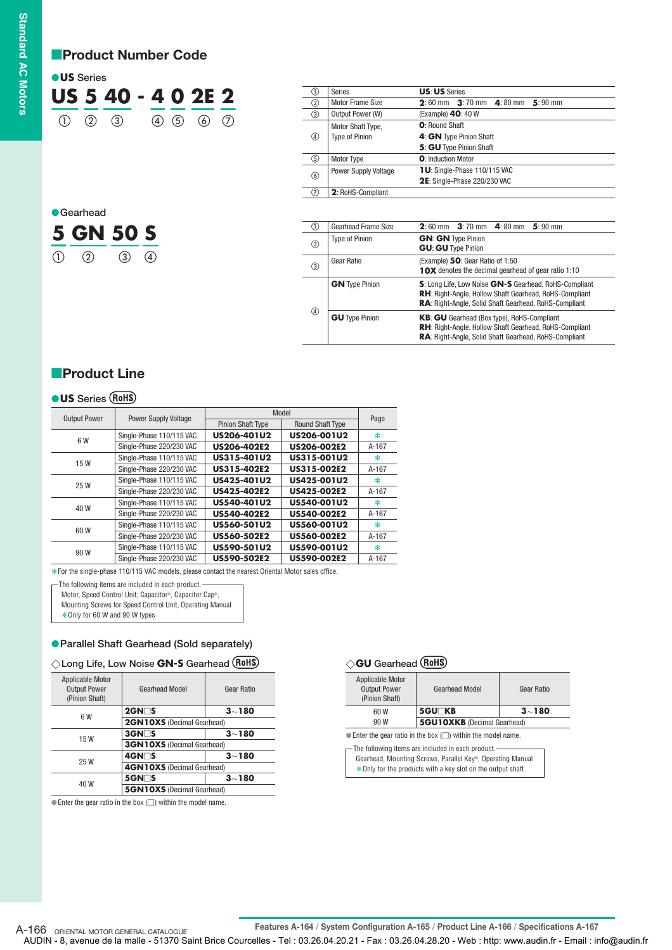## **Product Number Code**

| <b>OUS</b> Series |                   |                    |  |                   |  |
|-------------------|-------------------|--------------------|--|-------------------|--|
|                   |                   | US 5 40 - 4 0 2E 2 |  |                   |  |
|                   | $(1)$ $(2)$ $(3)$ |                    |  | $(4)$ (5) (6) (7) |  |

| <b>C</b> earhead |           |  |  |  |
|------------------|-----------|--|--|--|
|                  | 5 GN 50 S |  |  |  |
|                  |           |  |  |  |

| (1)               | <b>Series</b>               | <b>US: US Series</b>                                                  |
|-------------------|-----------------------------|-----------------------------------------------------------------------|
| ②                 | Motor Frame Size            | $3:70 \text{ mm}$ 4:80 mm<br>$5:90 \text{ mm}$<br>$2:60 \; \text{mm}$ |
| ③                 | Output Power (W)            | (Example) $40:40W$                                                    |
|                   | Motor Shaft Type,           | O' Round Shaft                                                        |
| $\left( 4\right)$ | <b>Type of Pinion</b>       | 4: GN Type Pinion Shaft                                               |
|                   |                             | 5: GU Type Pinion Shaft                                               |
| (5)               | <b>Motor Type</b>           | O: Induction Motor                                                    |
|                   | <b>Power Supply Voltage</b> | 1U: Single-Phase 110/115 VAC                                          |
| 6                 |                             | 2E: Single-Phase 220/230 VAC                                          |
| (7)               | 2: RoHS-Compliant           |                                                                       |
|                   |                             |                                                                       |
|                   |                             |                                                                       |
| (1)               | <b>Gearhead Frame Size</b>  | $2:60 \; \text{mm}$<br>$3:70 \text{ mm}$ 4:80 mm<br>$5:90 \text{ mm}$ |

| ◡                                      | utanitau Hanti vizt   |                                                                                                                                                                                        |  |  |  |
|----------------------------------------|-----------------------|----------------------------------------------------------------------------------------------------------------------------------------------------------------------------------------|--|--|--|
| $^{\circledR}$                         | <b>Type of Pinion</b> | <b>GN: GN Type Pinion</b><br><b>GU: GU Type Pinion</b>                                                                                                                                 |  |  |  |
| ③                                      | Gear Ratio            | (Example) 50: Gear Ratio of 1:50<br><b>10X</b> denotes the decimal gearhead of gear ratio 1:10                                                                                         |  |  |  |
|                                        | <b>GN</b> Type Pinion | S: Long Life, Low Noise GN-S Gearhead, RoHS-Compliant<br><b>RH:</b> Right-Angle, Hollow Shaft Gearhead, RoHS-Compliant<br><b>RA:</b> Right-Angle, Solid Shaft Gearhead, RoHS-Compliant |  |  |  |
| $\circled{4}$<br><b>GU</b> Type Pinion |                       | <b>KB: GU</b> Gearhead (Box type), RoHS-Compliant<br>RH: Right-Angle, Hollow Shaft Gearhead, RoHS-Compliant<br>RA: Right-Angle, Solid Shaft Gearhead, RoHS-Compliant                   |  |  |  |

## **Product Line**

#### **US Series**

|                     |                             | Model                    |                         |         |
|---------------------|-----------------------------|--------------------------|-------------------------|---------|
| <b>Output Power</b> | <b>Power Supply Voltage</b> | <b>Pinion Shaft Type</b> | <b>Round Shaft Type</b> | Page    |
| 6 W                 | Single-Phase 110/115 VAC    | US206-401U2              | US206-001U2             | $\ast$  |
|                     | Single-Phase 220/230 VAC    | <b>US206-402E2</b>       | <b>US206-002E2</b>      | $A-167$ |
| 15W                 | Single-Phase 110/115 VAC    | US315-401U2              | US315-001U2             | ∗       |
|                     | Single-Phase 220/230 VAC    | US315-402E2              | US315-002E2             | A-167   |
| 25W                 | Single-Phase 110/115 VAC    | US425-401U2              | US425-001U2             | $\ast$  |
|                     | Single-Phase 220/230 VAC    | <b>US425-402E2</b>       | <b>US425-002E2</b>      | $A-167$ |
| 40 W                | Single-Phase 110/115 VAC    | US540-401U2              | US540-001U2             | $\ast$  |
|                     | Single-Phase 220/230 VAC    | US540-402E2              | <b>US540-002E2</b>      | A-167   |
| 60W                 | Single-Phase 110/115 VAC    | US560-501U2              | US560-001U2             | ∗       |
|                     | Single-Phase 220/230 VAC    | US560-502E2              | US560-002E2             | $A-167$ |
| 90 W                | Single-Phase 110/115 VAC    | US590-501U2              | US590-001U2             | ∗       |
|                     | Single-Phase 220/230 VAC    | US590-502E2              | <b>US590-002E2</b>      | A-167   |

For the single-phase 110/115 VAC models, please contact the nearest Oriental Motor sales office. ✽

The following items are included in each product.

Motor, Speed Control Unit, Capacitor✽, Capacitor Cap✽, Mounting Screws for Speed Control Unit, Operating Manual

✽Only for 60 W and 90 W types

#### **Parallel Shaft Gearhead (Sold separately)**

|  |  |  |  |  | $\diamondsuit$ Long Life, Low Noise GN-S Gearhead (ROHS) |  |
|--|--|--|--|--|----------------------------------------------------------|--|
|--|--|--|--|--|----------------------------------------------------------|--|

| Applicable Motor<br><b>Output Power</b><br>(Pinion Shaft) | <b>Gearhead Model</b>             | Gear Ratio |  |  |
|-----------------------------------------------------------|-----------------------------------|------------|--|--|
| 6 W                                                       | $2$ GN $\Box$ S                   | $3 - 180$  |  |  |
|                                                           | <b>2GN10XS</b> (Decimal Gearhead) |            |  |  |
| 15W                                                       | $3$ GN $\Box$ S                   | $3 - 180$  |  |  |
|                                                           | <b>3GN10XS</b> (Decimal Gearhead) |            |  |  |
| 25 W                                                      | 4GN□S                             | $3 - 180$  |  |  |
|                                                           | <b>4GN10XS</b> (Decimal Gearhead) |            |  |  |
| 40 W                                                      | $5$ GN $\Box$ S                   | $3 - 180$  |  |  |
|                                                           | <b>5GN10XS</b> (Decimal Gearhead) |            |  |  |

 $\bullet$  Enter the gear ratio in the box ( $\Box$ ) within the model name.

#### **GU Gearhead**

| Applicable Motor<br><b>Output Power</b><br>(Pinion Shaft) | <b>Gearhead Model</b>              | Gear Ratio |  |
|-----------------------------------------------------------|------------------------------------|------------|--|
| 60W                                                       | 5GU <sub>KB</sub>                  | $3 - 180$  |  |
| 90 W                                                      | <b>5GU10XKB</b> (Decimal Gearhead) |            |  |

 $\bullet$  Enter the gear ratio in the box  $(\square)$  within the model name.

Gearhead, Mounting Screws, Parallel Key✽, Operating Manual ✽Only for the products with a key slot on the output shaft The following items are included in each product.

**Features A-164 / System Configuration A-165 / Product Line A-166 / Specifications A-167** A-166 ORIENTAL MOTOR GENERAL CATALOGUE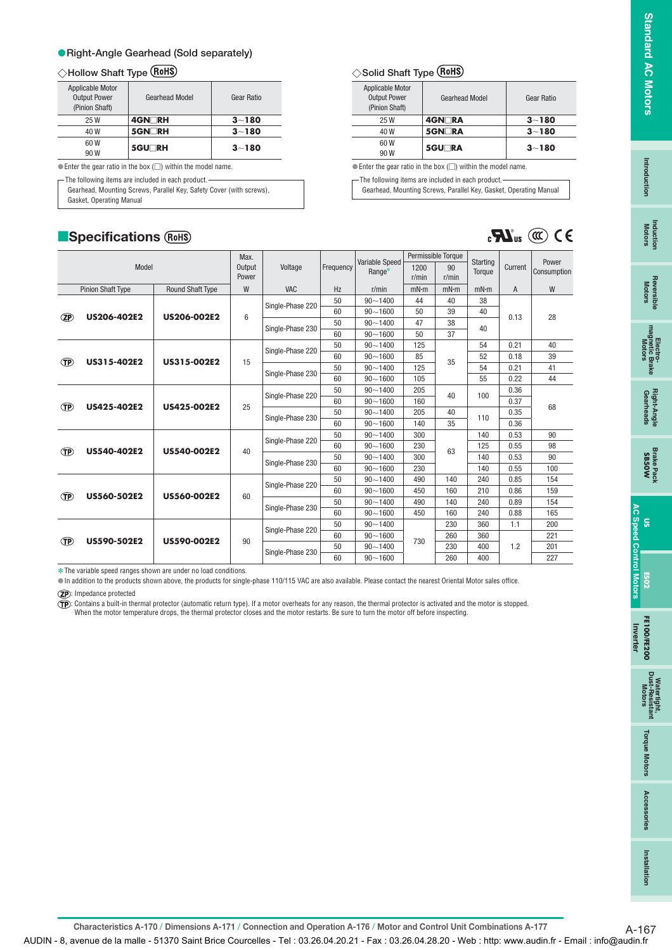**US**

**Torque Motors** 

Access sories

**Installation**

Installation

## **Right-Angle Gearhead (Sold separately)**

#### **Hollow Shaft Type**

| <b>Applicable Motor</b><br><b>Output Power</b><br>(Pinion Shaft) | <b>Gearhead Model</b> | Gear Ratio |
|------------------------------------------------------------------|-----------------------|------------|
| 25 W                                                             | 4GN⊡RH                | $3 - 180$  |
| 40 W                                                             | 5GN <sub>RH</sub>     | $3 - 180$  |
| 60 W<br>90 W                                                     | 5GU <sub>RH</sub>     | $3 - 180$  |

 $\bullet$  Enter the gear ratio in the box  $(\square)$  within the model name.

The following items are included in each product.

Gearhead, Mounting Screws, Parallel Key, Safety Cover (with screws),

Gasket, Operating Manual

 $\overline{\phantom{a}}$ 

## **Specifications**

| ◇Solid Shaft Type (RoHS) |  |  |  |
|--------------------------|--|--|--|
|--------------------------|--|--|--|

| Applicable Motor<br><b>Output Power</b><br>(Pinion Shaft) | <b>Gearhead Model</b> | Gear Ratio |
|-----------------------------------------------------------|-----------------------|------------|
| 25 W                                                      | 4GN∏RA                | $3 - 180$  |
| 40 W                                                      | <b>5GN</b> RA         | $3 - 180$  |
| 60 W<br>90 W                                              | 5GU <sub>RA</sub>     | $3 - 180$  |

 $\bullet$  Enter the gear ratio in the box  $\circlearrowright$ ) within the model name.

- The following items are included in each product. -

Gearhead, Mounting Screws, Parallel Key, Gasket, Operating Manual

 $\mathbf{C}$ **SN**<sub>us</sub> ( $\mathbb{C}$ ) C E

|           |                          |                         | Max.            |                  |           |                          |       | Permissible Torque |                    |         |                      |  |
|-----------|--------------------------|-------------------------|-----------------|------------------|-----------|--------------------------|-------|--------------------|--------------------|---------|----------------------|--|
|           | Model                    |                         | Output          | Voltage          | Frequency | Variable Speed<br>Range* | 1200  | 90                 | Starting<br>Torque | Current | Power<br>Consumption |  |
|           |                          |                         | Power           |                  |           |                          | r/min | r/min              |                    |         |                      |  |
|           | <b>Pinion Shaft Type</b> | <b>Round Shaft Type</b> | W               | VAC              | Hz        | r/min                    | mN·m  | mN·m               | mN·m               | A       | W                    |  |
|           |                          |                         |                 | Single-Phase 220 | 50        | $90 - 1400$              | 44    | 40                 | 38                 |         |                      |  |
| <b>ZP</b> | US206-402E2              | <b>US206-002E2</b>      | $6\phantom{1}6$ |                  | 60        | $90 - 1600$              | 50    | 39                 | 40                 | 0.13    | 28                   |  |
|           |                          |                         |                 |                  | 50        | $90 - 1400$              | 47    | 38                 | 40                 |         |                      |  |
|           |                          |                         |                 | Single-Phase 230 | 60        | $90 - 1600$              | 50    | 37                 |                    |         |                      |  |
|           |                          |                         |                 | Single-Phase 220 | 50        | $90 - 1400$              | 125   |                    | 54                 | 0.21    | 40                   |  |
| Œ         | US315-402E2              | US315-002E2             | 15              |                  | 60        | $90 - 1600$              | 85    | 35                 | 52                 | 0.18    | 39                   |  |
|           |                          |                         |                 | Single-Phase 230 | 50        | $90 - 1400$              | 125   |                    | 54                 | 0.21    | 41                   |  |
|           |                          |                         |                 |                  | 60        | $90 - 1600$              | 105   |                    | 55                 | 0.22    | 44                   |  |
|           |                          |                         |                 | Single-Phase 220 | 50<br>60  | $90 - 1400$              | 205   | 40                 | 100                | 0.36    |                      |  |
| <b>TP</b> | US425-402E2              | <b>US425-002E2</b>      | 25              |                  |           | $90 - 1600$              | 160   |                    |                    | 0.37    | 68                   |  |
|           |                          |                         |                 | Single-Phase 230 | 50        | $90 - 1400$              | 205   | 40                 | 110                | 0.35    |                      |  |
|           |                          |                         |                 |                  | 60        | $90 - 1600$              | 140   | 35                 |                    | 0.36    |                      |  |
|           |                          |                         |                 | Single-Phase 220 | 50        | $90 - 1400$              | 300   |                    | 140                | 0.53    | 90                   |  |
| <b>TP</b> | <b>US540-402E2</b>       | US540-002E2             | 40              |                  | 60        | $90 - 1600$              | 230   | 63                 | 125                | 0.55    | 98                   |  |
|           |                          |                         |                 | Single-Phase 230 | 50        | $90 - 1400$              | 300   |                    | 140                | 0.53    | 90                   |  |
|           |                          |                         |                 |                  | 60        | $90 - 1600$              | 230   |                    | 140                | 0.55    | 100                  |  |
|           |                          |                         |                 | Single-Phase 220 | 50        | $90 - 1400$              | 490   | 140                | 240                | 0.85    | 154                  |  |
| <b>TP</b> | <b>US560-502E2</b>       | <b>US560-002E2</b>      | 60              |                  | 60        | $90 - 1600$              | 450   | 160                | 210                | 0.86    | 159                  |  |
|           |                          |                         |                 | Single-Phase 230 | 50        | $90 - 1400$              | 490   | 140                | 240                | 0.89    | 154                  |  |
|           |                          |                         |                 |                  | 60        | $90 - 1600$              | 450   | 160                | 240                | 0.88    | 165                  |  |
|           |                          |                         |                 | Single-Phase 220 | 50        | $90 - 1400$              |       | 230                | 360                | 1.1     | 200                  |  |
| Œ         | US590-502E2              | US590-002E2             | 90              |                  | 60        | $90 - 1600$              | 730   | 260                | 360                |         | 221                  |  |
|           |                          |                         |                 | Single-Phase 230 | 50        | $90 - 1400$              |       | 230                | 400                | 1.2     | 201                  |  |
|           |                          |                         |                 |                  | 60        | $90 - 1600$              |       | 260                | 400                |         | 227                  |  |

**∗The variable speed ranges shown are under no load conditions.** 

In addition to the products shown above, the products for single-phase 110/115 VAC are also available. Please contact the nearest Oriental Motor sales office.

: Impedance protected

: Contains a built-in thermal protector (automatic return type). If a motor overheats for any reason, the thermal protector is activated and the motor is stopped.<br>When the motor temperature drops, the thermal protector clo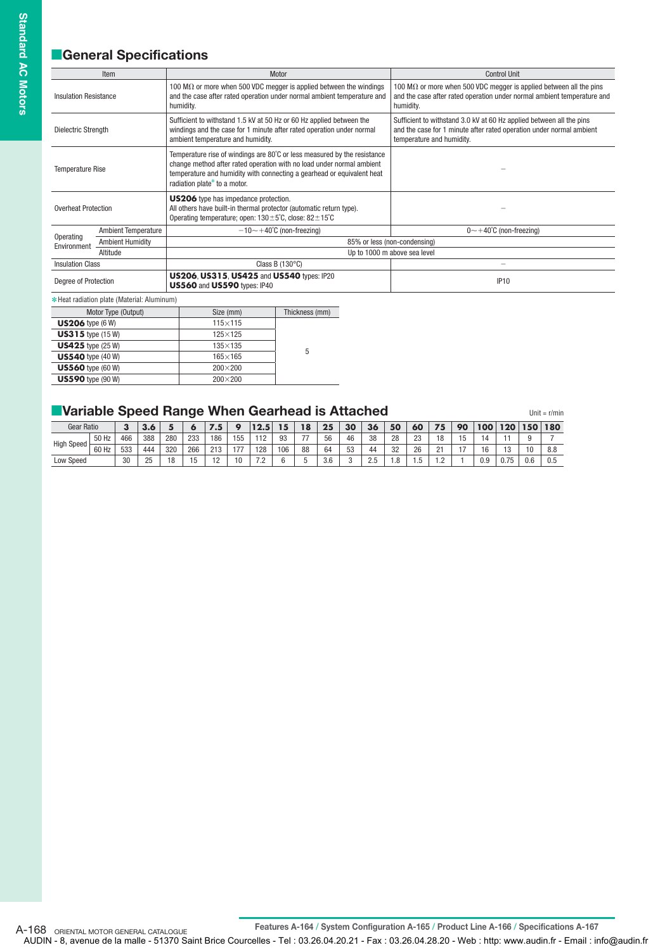## **General Specifications**

|                              | Item                                        | Motor                                                                                                                                                                                                                                                       | <b>Control Unit</b>                                                                                                                                                       |  |  |  |  |  |
|------------------------------|---------------------------------------------|-------------------------------------------------------------------------------------------------------------------------------------------------------------------------------------------------------------------------------------------------------------|---------------------------------------------------------------------------------------------------------------------------------------------------------------------------|--|--|--|--|--|
| <b>Insulation Resistance</b> |                                             | 100 M $\Omega$ or more when 500 VDC megger is applied between the windings<br>and the case after rated operation under normal ambient temperature and<br>humidity.                                                                                          | 100 M $\Omega$ or more when 500 VDC megger is applied between all the pins<br>and the case after rated operation under normal ambient temperature and<br>humidity.        |  |  |  |  |  |
| Dielectric Strength          |                                             | Sufficient to withstand 1.5 kV at 50 Hz or 60 Hz applied between the<br>windings and the case for 1 minute after rated operation under normal<br>ambient temperature and humidity.                                                                          | Sufficient to withstand 3.0 kV at 60 Hz applied between all the pins<br>and the case for 1 minute after rated operation under normal ambient<br>temperature and humidity. |  |  |  |  |  |
| <b>Temperature Rise</b>      |                                             | Temperature rise of windings are 80°C or less measured by the resistance<br>change method after rated operation with no load under normal ambient<br>temperature and humidity with connecting a gearhead or equivalent heat<br>radiation plate* to a motor. |                                                                                                                                                                           |  |  |  |  |  |
| <b>Overheat Protection</b>   |                                             | US206 type has impedance protection.<br>All others have built-in thermal protector (automatic return type).<br>Operating temperature; open: $130 \pm 5^{\circ}$ C, close: $82 \pm 15^{\circ}$ C                                                             |                                                                                                                                                                           |  |  |  |  |  |
|                              | <b>Ambient Temperature</b>                  | $-10$ $\sim$ $+40^{\circ}$ C (non-freezing)                                                                                                                                                                                                                 | $0 \sim +40^{\circ}$ C (non-freezing)                                                                                                                                     |  |  |  |  |  |
| Operating<br>Environment     | <b>Ambient Humidity</b>                     |                                                                                                                                                                                                                                                             | 85% or less (non-condensing)                                                                                                                                              |  |  |  |  |  |
|                              | Altitude                                    |                                                                                                                                                                                                                                                             | Up to 1000 m above sea level                                                                                                                                              |  |  |  |  |  |
| <b>Insulation Class</b>      |                                             | Class B $(130^{\circ}C)$                                                                                                                                                                                                                                    |                                                                                                                                                                           |  |  |  |  |  |
| Degree of Protection         |                                             | US206, US315, US425 and US540 types: IP20<br>US560 and US590 types: IP40                                                                                                                                                                                    | <b>IP10</b>                                                                                                                                                               |  |  |  |  |  |
|                              | * Heat radiation plate (Material: Aluminum) |                                                                                                                                                                                                                                                             |                                                                                                                                                                           |  |  |  |  |  |

| Motor Type (Output)        | Size (mm)       | Thickness (mm) |
|----------------------------|-----------------|----------------|
| $US206$ type (6 W)         | $115\times 115$ |                |
| <b>US315</b> type $(15 W)$ | $125\times125$  |                |
| <b>US425</b> type $(25 W)$ | $135\times135$  | 5              |
| <b>US540</b> type (40 W)   | $165\times 165$ |                |
| <b>US560</b> type (60 W)   | $200\times200$  |                |
| <b>US590</b> type (90 W)   | $200\times200$  |                |
|                            |                 |                |

| Variable Speed Range When Gearhead is Attached |       |     |     |     |     |     |     |      |     |    |     |    |     |    |    |    |    |     |      |     | Unit = $r/min$ |
|------------------------------------------------|-------|-----|-----|-----|-----|-----|-----|------|-----|----|-----|----|-----|----|----|----|----|-----|------|-----|----------------|
| Gear Ratio                                     |       |     |     |     | œ   | 7.5 | o   | 12.5 | 15  | 18 | 25  | 30 | 36  | 50 | 60 | 75 | 90 | 100 | 120  | 150 | 180            |
| <b>High Speed</b>                              | 50 Hz | 466 | 388 | 280 | 233 | 186 | 155 | 112  | 93  |    | 56  | 46 | 38  | 28 | 23 | 18 | 15 |     |      |     |                |
|                                                | 60 Hz | 533 | 444 | 320 | 266 | 213 | 177 | 128  | 106 | 88 | 64  | 53 | 44  | 32 | 26 | 21 |    | 16  | 13   | 10  | 8.8            |
| <b>Low Speed</b>                               |       | 30  | 25  | 18  |     | 12  | 10  | 72   |     |    | 3.6 |    | 2.5 | .8 |    | ാ  |    | 0.9 | 0.75 | 0.6 | 0.5            |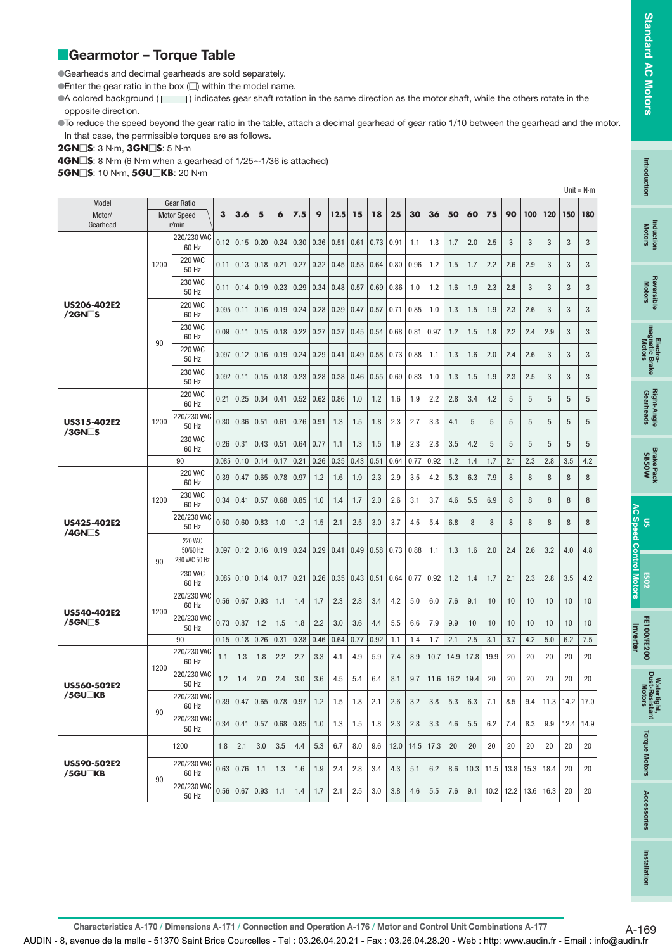## Introductior **Intro duction**

**AC Speed Control Motors**

tertight,<br>Resistant

**Torque Motors** 

Accessories

## **Gearmotor - Torque Table**

Gearheads and decimal gearheads are sold separately.

 $\bullet$  Enter the gear ratio in the box  $\Box$ ) within the model name.

A colored background ( $\Box$ ) indicates gear shaft rotation in the same direction as the motor shaft, while the others rotate in the opposite direction.

To reduce the speed beyond the gear ratio in the table, attach a decimal gearhead of gear ratio 1/10 between the gearhead and the motor. In that case, the permissible torques are as follows.

**2GN** $\square$ **S**: 3 N·m, **3GN** $\square$ **S**: 5 N·m

**4GN□S**: 8 N·m (6 N·m when a gearhead of 1/25∼1/36 is attached)

**5GN⊟S**: 10 N·m, **5GU⊟KB**: 20 N·m

|                                        |                                                            |                                             |       |                    |                             |      |      |      |      |      |      |                    |      |      |      |      |      |      |      |               |               | Unit = $N \cdot m$ |
|----------------------------------------|------------------------------------------------------------|---------------------------------------------|-------|--------------------|-----------------------------|------|------|------|------|------|------|--------------------|------|------|------|------|------|------|------|---------------|---------------|--------------------|
| Model                                  | <b>Gear Ratio</b><br>Motor/<br><b>Motor Speed</b><br>r/min |                                             |       |                    |                             |      |      |      |      |      |      |                    |      |      |      |      |      |      |      |               |               |                    |
| Gearhead                               |                                                            |                                             |       | 3.6                | 5                           | 6    | 7.5  | 9    | 12.5 | 15   | 18   | 25                 | 30   | 36   | 50   | 60   | 75   | 90   | 100  | 120           | 150           | 180                |
|                                        |                                                            | 220/230 VAC<br>60 Hz                        | 0.12  | $0.15 \mid 0.20$   |                             | 0.24 | 0.30 | 0.36 | 0.51 | 0.61 | 0.73 | 0.91               | 1.1  | 1.3  | 1.7  | 2.0  | 2.5  | 3    | 3    | 3             | 3             | 3                  |
|                                        | 1200                                                       | <b>220 VAC</b><br>50 Hz                     | 0.11  |                    | $0.13$ 0.18                 | 0.21 | 0.27 | 0.32 | 0.45 | 0.53 | 0.64 | $\vert 0.80 \vert$ | 0.96 | 1.2  | 1.5  | 1.7  | 2.2  | 2.6  | 2.9  | 3             | 3             | 3                  |
|                                        |                                                            | <b>230 VAC</b><br>50 Hz                     | 0.11  |                    | $0.14 \mid 0.19$            | 0.23 | 0.29 | 0.34 | 0.48 | 0.57 | 0.69 | 0.86               | 1.0  | 1.2  | 1.6  | 1.9  | 2.3  | 2.8  | 3    | 3             | 3             | 3                  |
| <b>US206-402E2</b><br>$/2$ GN $\Box$ S |                                                            | <b>220 VAC</b><br>60 Hz                     | 0.095 | 0.11               | 0.16                        | 0.19 | 0.24 | 0.28 | 0.39 | 0.47 | 0.57 | 0.71               | 0.85 | 1.0  | 1.3  | 1.5  | 1.9  | 2.3  | 2.6  | 3             | 3             | 3                  |
|                                        |                                                            | <b>230 VAC</b><br>60 Hz                     | 0.09  | 0.11               | 0.15                        | 0.18 | 0.22 | 0.27 | 0.37 | 0.45 | 0.54 | 0.68               | 0.81 | 0.97 | 1.2  | 1.5  | 1.8  | 2.2  | 2.4  | 2.9           | 3             | 3                  |
|                                        | 90                                                         | <b>220 VAC</b><br>50 Hz                     | 0.097 |                    | $0.12$   0.16   0.19   0.24 |      |      | 0.29 | 0.41 | 0.49 | 0.58 | 0.73               | 0.88 | 1.1  | 1.3  | 1.6  | 2.0  | 2.4  | 2.6  | 3             | 3             | 3                  |
|                                        |                                                            | <b>230 VAC</b><br>50 Hz                     |       | 0.092   0.11       | 0.15                        | 0.18 | 0.23 | 0.28 | 0.38 | 0.46 | 0.55 | 0.69               | 0.83 | 1.0  | 1.3  | 1.5  | 1.9  | 2.3  | 2.5  | 3             | 3             | 3                  |
|                                        |                                                            | <b>220 VAC</b><br>60 Hz                     | 0.21  | 0.25               | 0.34                        | 0.41 | 0.52 | 0.62 | 0.86 | 1.0  | 1.2  | 1.6                | 1.9  | 2.2  | 2.8  | 3.4  | 4.2  | 5    | 5    | 5             | 5             | 5                  |
| US315-402E2<br>$/3$ GN $\Box$ S        | 1200                                                       | 220/230 VAC<br>50 Hz                        | 0.30  | $0.36 \mid 0.51$   |                             | 0.61 | 0.76 | 0.91 | 1.3  | 1.5  | 1.8  | 2.3                | 2.7  | 3.3  | 4.1  | 5    | 5    | 5    | 5    | 5             | 5             | 5                  |
|                                        |                                                            | <b>230 VAC</b><br>60 Hz                     | 0.26  | 0.31               | 0.43                        | 0.51 | 0.64 | 0.77 | 1.1  | 1.3  | 1.5  | 1.9                | 2.3  | 2.8  | 3.5  | 4.2  | 5    | 5    | 5    | 5             | 5             | 5                  |
|                                        |                                                            | 90                                          | 0.085 | 0.10               | 0.14                        | 0.17 | 0.21 | 0.26 | 0.35 | 0.43 | 0.51 | 0.64               | 0.77 | 0.92 | 1.2  | 1.4  | 1.7  | 2.1  | 2.3  | 2.8           | 3.5           | 4.2                |
|                                        |                                                            | <b>220 VAC</b><br>60 Hz                     | 0.39  | 0.47               | 0.65                        | 0.78 | 0.97 | 1.2  | 1.6  | 1.9  | 2.3  | 2.9                | 3.5  | 4.2  | 5.3  | 6.3  | 7.9  | 8    | 8    | 8             | 8             | 8                  |
|                                        | 1200                                                       | <b>230 VAC</b><br>60 Hz                     | 0.34  | 0.41               | 0.57                        | 0.68 | 0.85 | 1.0  | 1.4  | 1.7  | 2.0  | 2.6                | 3.1  | 3.7  | 4.6  | 5.5  | 6.9  | 8    | 8    | 8             | 8             | 8                  |
| <b>US425-402E2</b><br>$/4$ GN $\Box$ S |                                                            | 220/230 VAC<br>50 Hz                        | 0.50  | 0.60               | 0.83                        | 1.0  | 1.2  | 1.5  | 2.1  | 2.5  | 3.0  | 3.7                | 4.5  | 5.4  | 6.8  | 8    | 8    | 8    | 8    | 8             | 8             | 8                  |
|                                        | 90                                                         | <b>220 VAC</b><br>50/60 Hz<br>230 VAC 50 Hz | 0.097 | 0.12   0.16        |                             | 0.19 | 0.24 | 0.29 | 0.41 | 0.49 | 0.58 | 0.73               | 0.88 | 1.1  | 1.3  | 1.6  | 2.0  | 2.4  | 2.6  | 3.2           | 4.0           | 4.8                |
|                                        |                                                            | <b>230 VAC</b><br>60 Hz                     | 0.085 | 0.10 0.14          |                             | 0.17 | 0.21 | 0.26 | 0.35 | 0.43 | 0.51 | 0.64               | 0.77 | 0.92 | 1.2  | 1.4  | 1.7  | 2.1  | 2.3  | 2.8           | 3.5           | 4.2                |
| <b>US540-402E2</b>                     | 1200                                                       | 220/230 VAC<br>60 Hz                        | 0.56  | 0.67               | 0.93                        | 1.1  | 1.4  | 1.7  | 2.3  | 2.8  | 3.4  | 4.2                | 5.0  | 6.0  | 7.6  | 9.1  | 10   | 10   | 10   | 10            | 10            | 10                 |
| /5GN⊟S                                 |                                                            | 220/230 VAC<br>50 Hz                        | 0.73  | 0.87               | 1.2                         | 1.5  | 1.8  | 2.2  | 3.0  | 3.6  | 4.4  | 5.5                | 6.6  | 7.9  | 9.9  | 10   | 10   | 10   | 10   | 10            | 10            | 10                 |
|                                        |                                                            | 90                                          | 0.15  | 0.18               | 0.26                        | 0.31 | 0.38 | 0.46 | 0.64 | 0.77 | 0.92 | 1.1                | 1.4  | 1.7  | 2.1  | 2.5  | 3.1  | 3.7  | 4.2  | 5.0           | 6.2           | 7.5                |
|                                        | 1200                                                       | 220/230 VAC<br>60 Hz                        | 1.1   | 1.3                | 1.8                         | 2.2  | 2.7  | 3.3  | 4.1  | 4.9  | 5.9  | 7.4                | 8.9  | 10.7 | 14.9 | 17.8 | 19.9 | 20   | 20   | 20            | 20            | 20                 |
| <b>US560-502E2</b><br>/5GU□KB          |                                                            | 220/230 VAC<br>50 Hz                        | 1.2   | 1.4                | 2.0                         | 2.4  | 3.0  | 3.6  | 4.5  | 5.4  | 6.4  | 8.1                | 9.7  | 11.6 | 16.2 | 19.4 | 20   | 20   | 20   | 20            | 20            | 20                 |
|                                        | 90                                                         | 220/230 VAC<br>60 Hz<br>220/230 VAC         | 0.39  | $\vert 0.47 \vert$ | $0.65 \mid 0.78 \mid$       |      | 0.97 | 1.2  | 1.5  | 1.8  | 2.1  | 2.6                | 3.2  | 3.8  | 5.3  | 6.3  | 7.1  | 8.5  | 9.4  | 11.3          | $14.2$   17.0 |                    |
|                                        |                                                            | 50 Hz                                       | 0.34  |                    | $0.41$   0.57   0.68   0.85 |      |      | 1.0  | 1.3  | 1.5  | 1.8  | 2.3                | 2.8  | 3.3  | 4.6  | 5.5  | 6.2  | 7.4  | 8.3  | 9.9           | 12.4          | 14.9               |
|                                        |                                                            | 1200                                        | 1.8   | 2.1                | 3.0                         | 3.5  | 4.4  | 5.3  | 6.7  | 8.0  | 9.6  | 12.0               | 14.5 | 17.3 | 20   | 20   | 20   | 20   | 20   | 20            | 20            | 20                 |
| <b>US590-502E2</b><br>/5GU□KB          | 90                                                         | 220/230 VAC<br>60 Hz                        | 0.63  | 0.76               | 1.1                         | 1.3  | 1.6  | 1.9  | 2.4  | 2.8  | 3.4  | 4.3                | 5.1  | 6.2  | 8.6  | 10.3 | 11.5 | 13.8 | 15.3 | 18.4          | 20            | 20                 |
|                                        |                                                            | 220/230 VAC<br>50 Hz                        | 0.56  | $0.67$ 0.93        |                             | 1.1  | 1.4  | 1.7  | 2.1  | 2.5  | 3.0  | 3.8                | 4.6  | 5.5  | 7.6  | 9.1  | 10.2 | 12.2 |      | $13.6$   16.3 | 20            | 20                 |

**Characteristics A-170 / Dimensions A-171 / Connection and Operation A-176 / Motor and Control Unit Combinations A-177** A-169

AUDIN - 8, avenue de la malle - 51370 Saint Brice Courcelles - Tel : 03.26.04.20.21 - Fax : 03.26.04.28.20 - Web : http: www.audin.fr - Email : info@audin.fr

**Installation**

Installation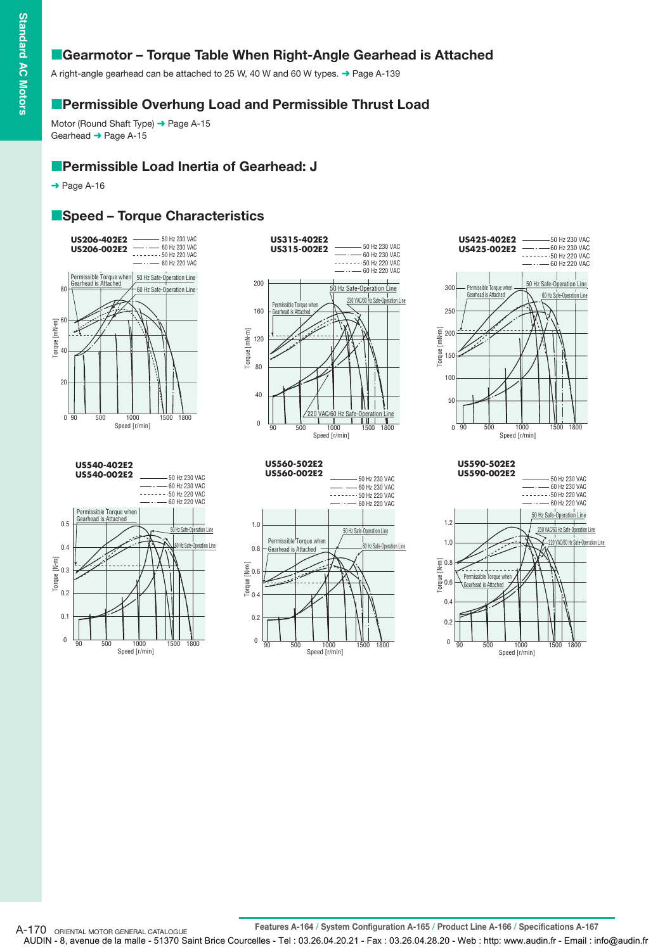## **E** Gearmotor - Torque Table When Right-Angle Gearhead is Attached

A right-angle gearhead can be attached to 25 W, 40 W and 60 W types. ➜ Page A-139

### **Permissible Overhung Load and Permissible Thrust Load**

Motor (Round Shaft Type) → Page A-15 Gearhead → Page A-15

## **Permissible Load Inertia of Gearhead: J**

 $\rightarrow$  Page A-16

## **Speed - Torque Characteristics**















## **Features A-164 / System Configuration A-165 / Product Line A-166 / Specifications A-167** A-170 ORIENTAL MOTOR GENERAL CATALOGUE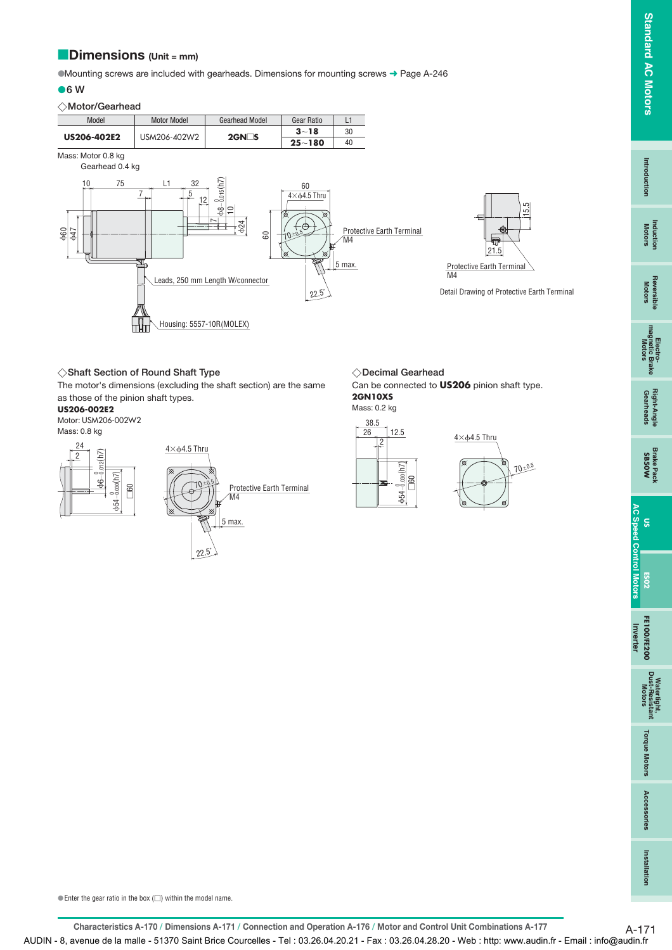### **Dimensions (Unit = mm)** -

Mounting screws are included with gearheads. Dimensions for mounting screws ➜ Page A-246

#### **6 W**

#### **Motor/Gearhead**



#### **Shaft Section of Round Shaft Type Decimal Gearhead**

The motor's dimensions (excluding the shaft section) are the same as those of the pinion shaft types.

#### **US206-002E2**

Motor: USM206-002W2 Mass: 0.8 kg



 $22.5^{\circ}$ 

◇Decimal Gearhead

Can be connected to **US206** pinion shaft type. **2GN10XS**





 $\bullet$  Enter the gear ratio in the box  $(\square)$  within the model name.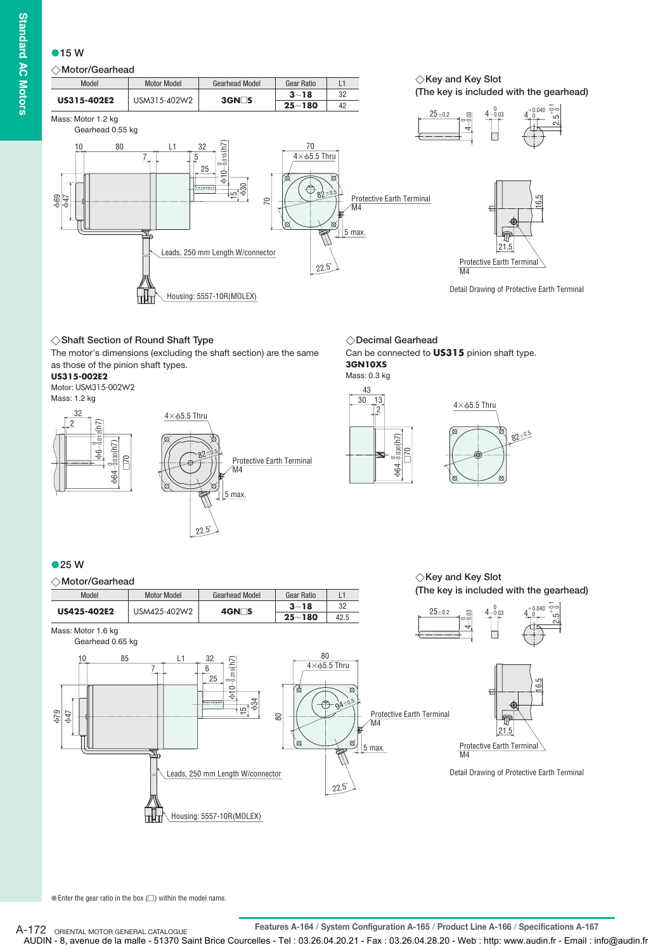## **15 W**

### **Motor/Gearhead**



#### **Shaft Section of Round Shaft Type**

The motor's dimensions (excluding the shaft section) are the same as those of the pinion shaft types.

#### **US315-002E2**

Motor: USM315-002W2 Mass: 1.2 kg



**Decimal Gearhead** Can be connected to **US315** pinion shaft type. **3GN10XS** Mass: 0.3 kg



#### **25 W**



 $\bullet$  Enter the gear ratio in the box  $\circlearrowright$ ) within the model name.

**Features A-164 / System Configuration A-165 / Product Line A-166 / Specifications A-167** A-172 ORIENTAL MOTOR GENERAL CATALOGUE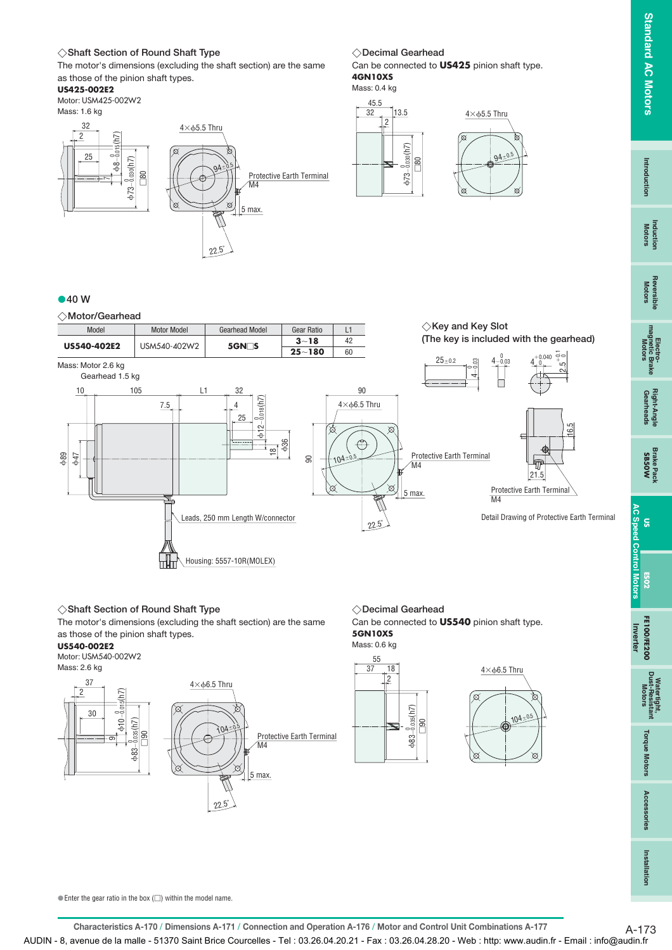**Induction Motors**

## **Shaft Section of Round Shaft Type Decimal Gearhead**

The motor's dimensions (excluding the shaft section) are the same as those of the pinion shaft types.

#### **US425-002E2**

Motor: USM425-002W2 Mass: 1.6 kg



#### ◇Decimal Gearhead

Can be connected to **US425** pinion shaft type. **4GN10XS**

Mass: 0.4 kg





#### **40 W**

**Motor/Gearhead**



#### **Shaft Section of Round Shaft Type Decimal Gearhead**

The motor's dimensions (excluding the shaft section) are the same as those of the pinion shaft types.

22.5˚

#### **US540-002E2**

ගා



-

83-

104=0.5 Protective Earth Terminal M4 ∖প max.

#### ◇Decimal Gearhead

Can be connected to **US540** pinion shaft type. **5GN10XS**

#### Mass: 0.6 kg





**Torque Motors** 

 $\bullet$  Enter the gear ratio in the box  $(\square)$  within the model name.

**Characteristics A-170 / Dimensions A-171 / Connection and Operation A-176 / Motor and Control Unit Combinations A-177** A-173 AUDIN - 8, avenue de la malle - 51370 Saint Brice Courcelles - Tel : 03.26.04.20.21 - Fax : 03.26.04.28.20 - Web : http: www.audin.fr - Email : info@audin.fr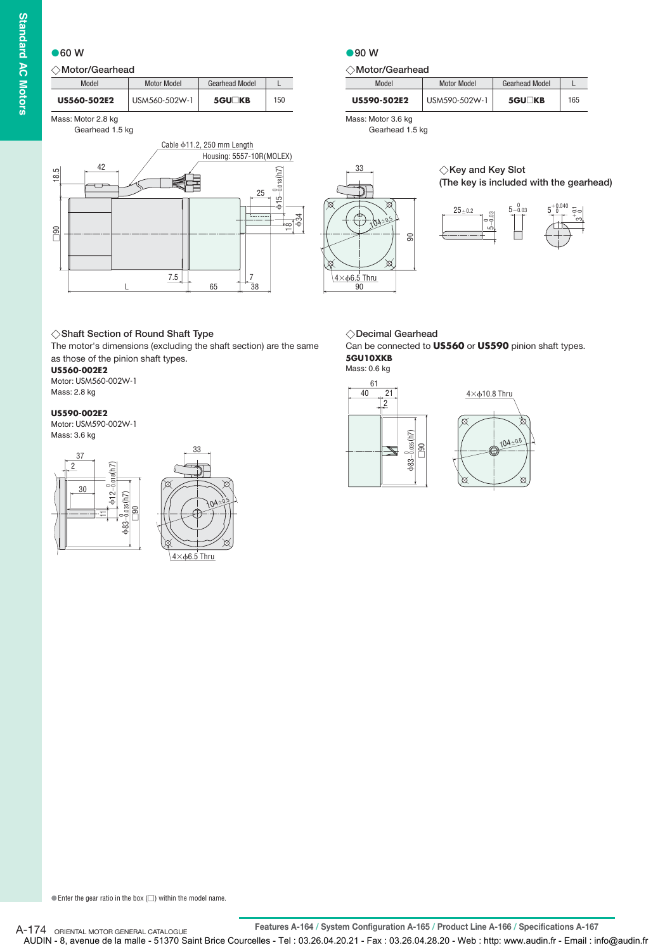#### **60 W**

#### **Motor/Gearhead**

| Model       | <b>Motor Model</b> | <b>Gearhead Model</b> |     |
|-------------|--------------------|-----------------------|-----|
| US560-502E2 | USM560-502W-1      | $5$ GU $\Box$ KB      | 150 |

Mass: Motor 2.8 kg Gearhead 1.5 kg



#### **90 W**

#### **Motor/Gearhead**

| Model       | <b>Motor Model</b> | <b>Gearhead Model</b> |     |
|-------------|--------------------|-----------------------|-----|
| US590-502E2 | USM590-502W-1      | <b>5GU∏KB</b>         | 165 |

Mass: Motor 3.6 kg Gearhead 1.5 kg





#### **Shaft Section of Round Shaft Type Decimal Gearhead**

The motor's dimensions (excluding the shaft section) are the same as those of the pinion shaft types.

#### **US560-002E2**

Motor: USM560-002W-1 Mass: 2.8 kg

#### **US590-002E2**

Motor: USM590-002W-1 Mass: 3.6 kg





◇Decimal Gearhead

Can be connected to **US560** or **US590** pinion shaft types. **5GU10XKB**

Mass: 0.6 kg

90  $4\times$  $6.5$  Thru



 $\bullet$  Enter the gear ratio in the box  $\circlearrowright$ ) within the model name.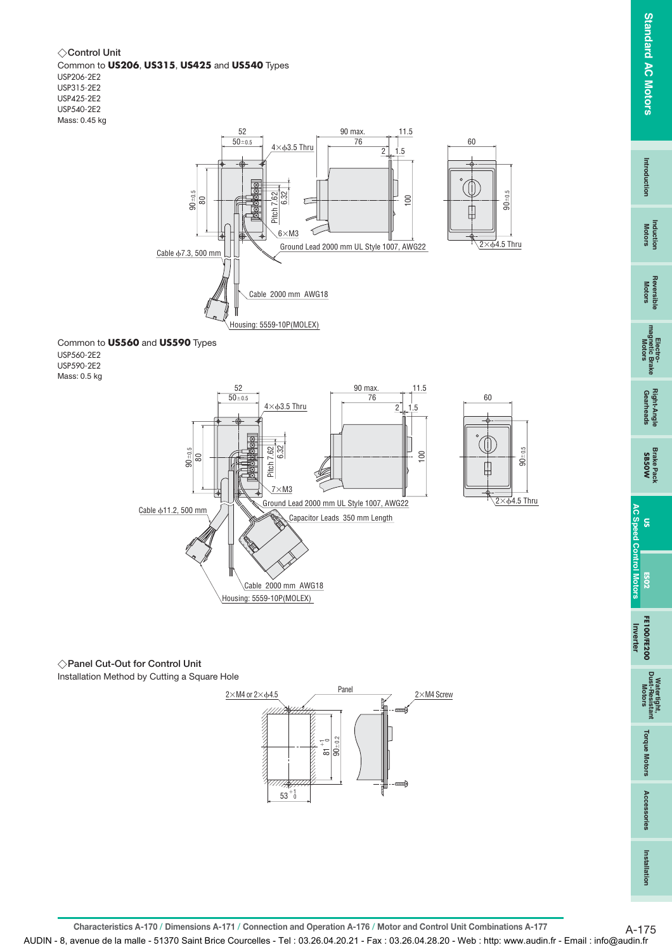$\overrightarrow{6}$ 4.5 Thru

 $\ddot{\mathbf{S}}$ 

60

**Installation**

Installation

**Control Unit** Common to **US206**, **US315**, **US425** and **US540** Types USP206-2E2 USP315-2E2 USP425-2E2 USP540-2E2 Mass: 0.45 kg



Common to **US560** and **US590** Types USP560-2E2 USP590-2E2 Mass: 0.5 kg



#### **Panel Cut-Out for Control Unit**

Installation Method by Cutting a Square Hole



**Characteristics A-170 / Dimensions A-171 / Connection and Operation A-176 / Motor and Control Unit Combinations A-177** A-175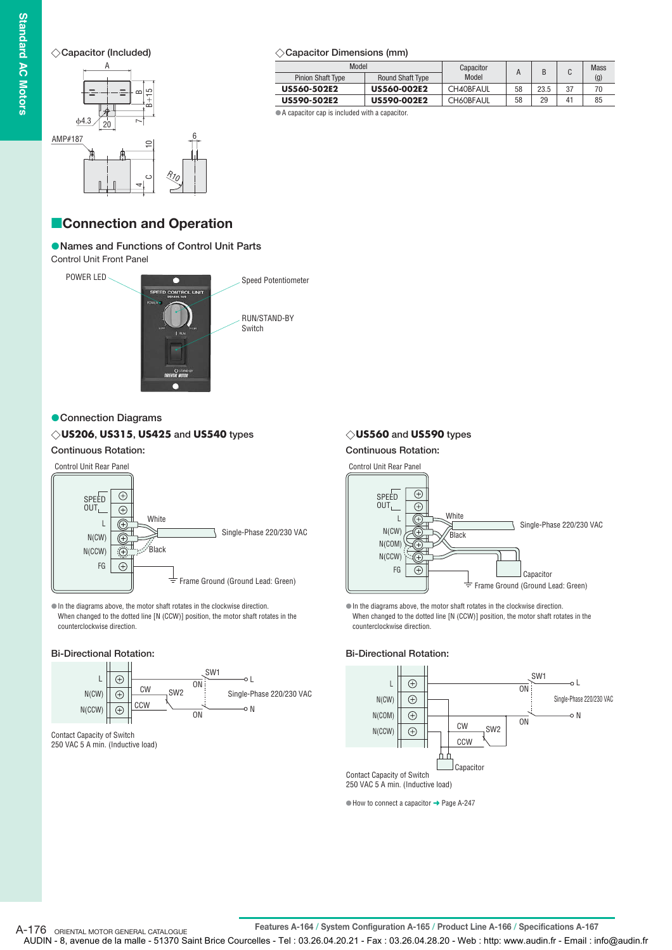#### **Capacitor (Included)**



#### **Capacitor Dimensions (mm)**

| Model                    |                         | Capacitor        |    |      |    | <b>Mass</b> |
|--------------------------|-------------------------|------------------|----|------|----|-------------|
| <b>Pinion Shaft Type</b> | <b>Round Shaft Type</b> | Model            |    |      | U  | (g)         |
| US560-502E2              | <b>US560-002E2</b>      | <b>CH40BFAUL</b> | 58 | 23.5 | 37 |             |
| US590-502E2              | <b>US590-002E2</b>      | <b>CH60BFAUL</b> | 58 | 29   | 41 | 85          |

A capacitor cap is included with a capacitor.

## **Connection and Operation**

#### **Names and Functions of Control Unit Parts**

Control Unit Front Panel



#### **Connection Diagrams**

#### **US206, US315, US425 and US540 types**

## **Continuous Rotation:**



In the diagrams above, the motor shaft rotates in the clockwise direction. When changed to the dotted line [N (CCW)] position, the motor shaft rotates in the counterclockwise direction.

#### **Bi-Directional Rotation:**



Contact Capacity of Switch 250 VAC 5 A min. (Inductive load)

**Continuous Rotation:** Control Unit Rear Panel  $\bigoplus$ SPEED OUT<sub>L</sub>  $\overline{\bigoplus}$ White  $\mathbf{L}$  $\times$ 

In the diagrams above, the motor shaft rotates in the clockwise direction. When changed to the dotted line [N (CCW)] position, the motor shaft rotates in the

#### **Bi-Directional Rotation:**

counterclockwise direction.



250 VAC 5 A min. (Inductive load)

 $\bullet$  How to connect a capacitor  $\rightarrow$  Page A-247

**US560 and US590 types**



**Features A-164 / System Configuration A-165 / Product Line A-166 / Specifications A-167** A-176 ORIENTAL MOTOR GENERAL CATALOGUE